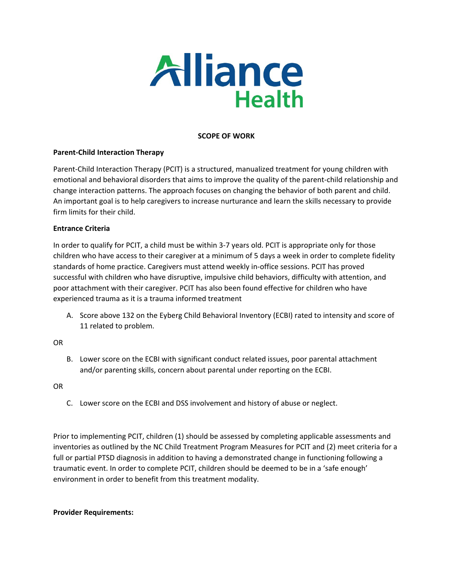

### **SCOPE OF WORK**

# **Parent-Child Interaction Therapy**

Parent-Child Interaction Therapy (PCIT) is a structured, manualized treatment for young children with emotional and behavioral disorders that aims to improve the quality of the parent-child relationship and change interaction patterns. The approach focuses on changing the behavior of both parent and child. An important goal is to help caregivers to increase nurturance and learn the skills necessary to provide firm limits for their child.

# **Entrance Criteria**

In order to qualify for PCIT, a child must be within 3-7 years old. PCIT is appropriate only for those children who have access to their caregiver at a minimum of 5 days a week in order to complete fidelity standards of home practice. Caregivers must attend weekly in-office sessions. PCIT has proved successful with children who have disruptive, impulsive child behaviors, difficulty with attention, and poor attachment with their caregiver. PCIT has also been found effective for children who have experienced trauma as it is a trauma informed treatment

A. Score above 132 on the Eyberg Child Behavioral Inventory (ECBI) rated to intensity and score of 11 related to problem.

# OR

B. Lower score on the ECBI with significant conduct related issues, poor parental attachment and/or parenting skills, concern about parental under reporting on the ECBI.

# OR

C. Lower score on the ECBI and DSS involvement and history of abuse or neglect.

Prior to implementing PCIT, children (1) should be assessed by completing applicable assessments and inventories as outlined by the NC Child Treatment Program Measures for PCIT and (2) meet criteria for a full or partial PTSD diagnosis in addition to having a demonstrated change in functioning following a traumatic event. In order to complete PCIT, children should be deemed to be in a 'safe enough' environment in order to benefit from this treatment modality.

# **Provider Requirements:**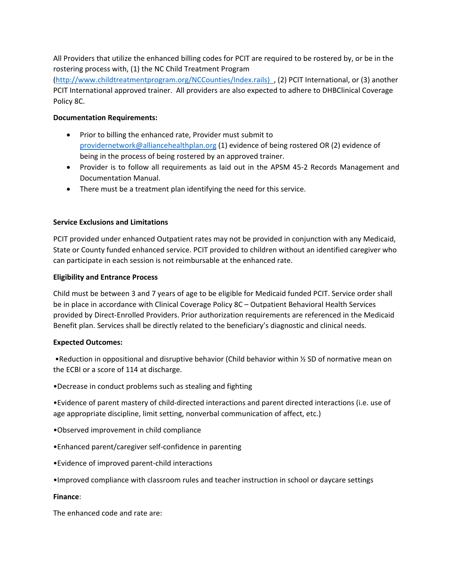All Providers that utilize the enhanced billing codes for PCIT are required to be rostered by, or be in the rostering process with, (1) the NC Child Treatment Program

[\(http://www.childtreatmentprogram.org/NCCounties/Index.rails\)\\_,](http://www.childtreatmentprogram.org/NCCounties/Index.rails)_) (2) PCIT International, or (3) another PCIT International approved trainer. All providers are also expected to adhere to DHBClinical Coverage Policy 8C.

### **Documentation Requirements:**

- Prior to billing the enhanced rate, Provider must submit to [providernetwork@alliancehealthplan.org](mailto:providernetwork@alliancehealthplan.org) (1) evidence of being rostered OR (2) evidence of being in the process of being rostered by an approved trainer.
- Provider is to follow all requirements as laid out in the APSM 45-2 Records Management and Documentation Manual.
- There must be a treatment plan identifying the need for this service.

# **Service Exclusions and Limitations**

PCIT provided under enhanced Outpatient rates may not be provided in conjunction with any Medicaid, State or County funded enhanced service. PCIT provided to children without an identified caregiver who can participate in each session is not reimbursable at the enhanced rate.

# **Eligibility and Entrance Process**

Child must be between 3 and 7 years of age to be eligible for Medicaid funded PCIT. Service order shall be in place in accordance with Clinical Coverage Policy 8C – Outpatient Behavioral Health Services provided by Direct-Enrolled Providers. Prior authorization requirements are referenced in the Medicaid Benefit plan. Services shall be directly related to the beneficiary's diagnostic and clinical needs.

# **Expected Outcomes:**

•Reduction in oppositional and disruptive behavior (Child behavior within ½ SD of normative mean on the ECBI or a score of 114 at discharge.

•Decrease in conduct problems such as stealing and fighting

•Evidence of parent mastery of child-directed interactions and parent directed interactions (i.e. use of age appropriate discipline, limit setting, nonverbal communication of affect, etc.)

- •Observed improvement in child compliance
- •Enhanced parent/caregiver self-confidence in parenting
- •Evidence of improved parent-child interactions
- •Improved compliance with classroom rules and teacher instruction in school or daycare settings

#### **Finance**:

The enhanced code and rate are: